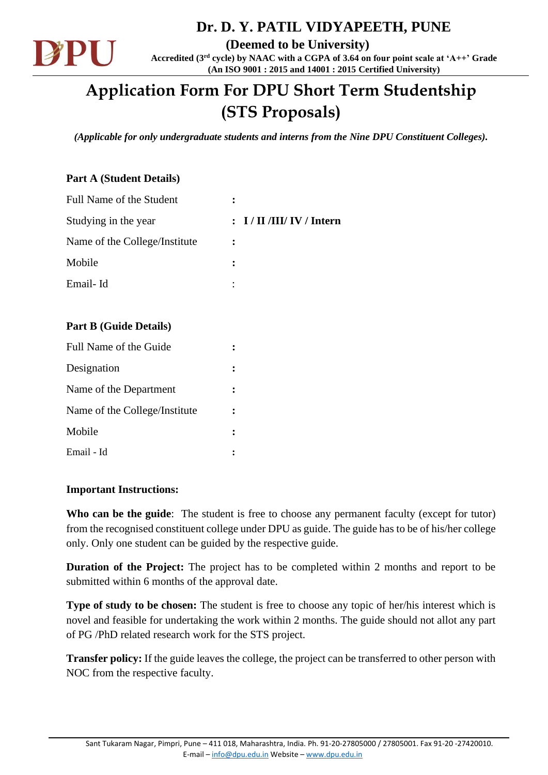

 **Dr. D. Y. PATIL VIDYAPEETH, PUNE**

**(Deemed to be University) Accredited (3rd cycle) by NAAC with a CGPA of 3.64 on four point scale at 'A++' Grade (An ISO 9001 : 2015 and 14001 : 2015 Certified University)**

# **Application Form For DPU Short Term Studentship (STS Proposals)**

*(Applicable for only undergraduate students and interns from the Nine DPU Constituent Colleges).*

#### **Part A (Student Details)**

| Full Name of the Student      |                      |
|-------------------------------|----------------------|
| Studying in the year          | : I/II/III/IV/Intern |
| Name of the College/Institute |                      |
| Mobile                        |                      |
| Email-Id                      | ٠                    |

#### **Part B (Guide Details)**

| Full Name of the Guide        |  |
|-------------------------------|--|
| Designation                   |  |
| Name of the Department        |  |
| Name of the College/Institute |  |
| Mobile                        |  |
| Email - Id                    |  |

#### **Important Instructions:**

Who can be the guide: The student is free to choose any permanent faculty (except for tutor) from the recognised constituent college under DPU as guide. The guide has to be of his/her college only. Only one student can be guided by the respective guide.

**Duration of the Project:** The project has to be completed within 2 months and report to be submitted within 6 months of the approval date.

**Type of study to be chosen:** The student is free to choose any topic of her/his interest which is novel and feasible for undertaking the work within 2 months. The guide should not allot any part of PG /PhD related research work for the STS project.

**Transfer policy:** If the guide leaves the college, the project can be transferred to other person with NOC from the respective faculty.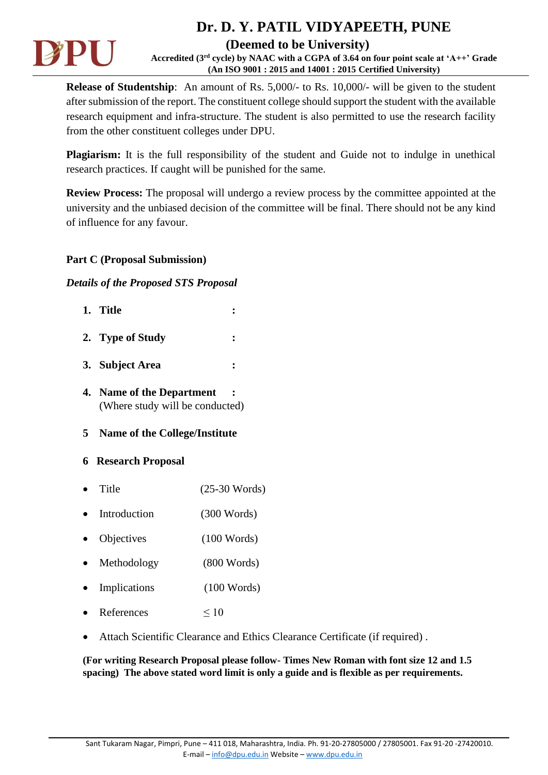

## **Dr. D. Y. PATIL VIDYAPEETH, PUNE**

#### **(Deemed to be University)**

**Accredited (3rd cycle) by NAAC with a CGPA of 3.64 on four point scale at 'A++' Grade (An ISO 9001 : 2015 and 14001 : 2015 Certified University)**

**Release of Studentship**: An amount of Rs. 5,000/- to Rs. 10,000/- will be given to the student after submission of the report. The constituent college should support the student with the available research equipment and infra-structure. The student is also permitted to use the research facility from the other constituent colleges under DPU.

**Plagiarism:** It is the full responsibility of the student and Guide not to indulge in unethical research practices. If caught will be punished for the same.

**Review Process:** The proposal will undergo a review process by the committee appointed at the university and the unbiased decision of the committee will be final. There should not be any kind of influence for any favour.

#### **Part C (Proposal Submission)**

#### *Details of the Proposed STS Proposal*

| 1. Title                                                     |                 |
|--------------------------------------------------------------|-----------------|
| 2. Type of Study                                             |                 |
| 3. Subject Area                                              | ፡               |
| 4. Name of the Department<br>(Where study will be conducted) |                 |
| 5 Name of the College/Institute                              |                 |
| <b>6</b> Research Proposal                                   |                 |
| Title                                                        | $(25-30$ Words) |
| Introduction                                                 | $(300$ Words)   |
| Objectives                                                   | $(100$ Words)   |
| Methodology                                                  | $(800$ Words)   |
| Implications                                                 | $(100$ Words)   |
| References                                                   | $\leq 10$       |

• Attach Scientific Clearance and Ethics Clearance Certificate (if required) .

**(For writing Research Proposal please follow- Times New Roman with font size 12 and 1.5 spacing) The above stated word limit is only a guide and is flexible as per requirements.**